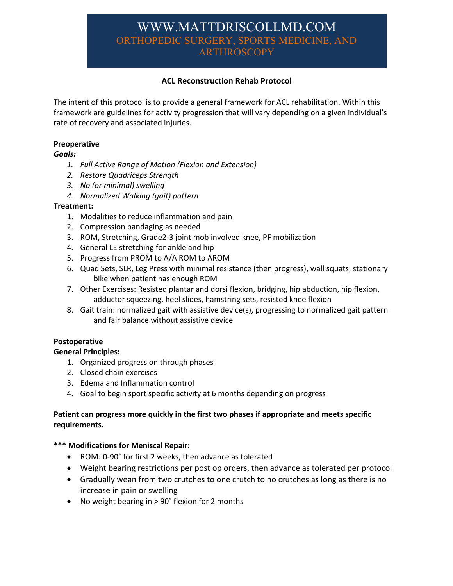# WWW.MATTDRISCOLLMD.COM ORTHOPEDIC SURGERY, SPORTS MEDICINE, AND **ARTHROSCOPY**

# **ACL Reconstruction Rehab Protocol**

The intent of this protocol is to provide a general framework for ACL rehabilitation. Within this framework are guidelines for activity progression that will vary depending on a given individual's rate of recovery and associated injuries.

## **Preoperative**

## *Goals:*

- *1. Full Active Range of Motion (Flexion and Extension)*
- *2. Restore Quadriceps Strength*
- *3. No (or minimal) swelling*
- *4. Normalized Walking (gait) pattern*

## **Treatment:**

- 1. Modalities to reduce inflammation and pain
- 2. Compression bandaging as needed
- 3. ROM, Stretching, Grade2-3 joint mob involved knee, PF mobilization
- 4. General LE stretching for ankle and hip
- 5. Progress from PROM to A/A ROM to AROM
- 6. Quad Sets, SLR, Leg Press with minimal resistance (then progress), wall squats, stationary bike when patient has enough ROM
- 7. Other Exercises: Resisted plantar and dorsi flexion, bridging, hip abduction, hip flexion, adductor squeezing, heel slides, hamstring sets, resisted knee flexion
- 8. Gait train: normalized gait with assistive device(s), progressing to normalized gait pattern and fair balance without assistive device

## **Postoperative**

## **General Principles:**

- 1. Organized progression through phases
- 2. Closed chain exercises
- 3. Edema and Inflammation control
- 4. Goal to begin sport specific activity at 6 months depending on progress

# **Patient can progress more quickly in the first two phases if appropriate and meets specific requirements.**

## **\*\*\* Modifications for Meniscal Repair:**

- ROM: 0-90˚ for first 2 weeks, then advance as tolerated
- Weight bearing restrictions per post op orders, then advance as tolerated per protocol
- Gradually wean from two crutches to one crutch to no crutches as long as there is no increase in pain or swelling
- No weight bearing in > 90° flexion for 2 months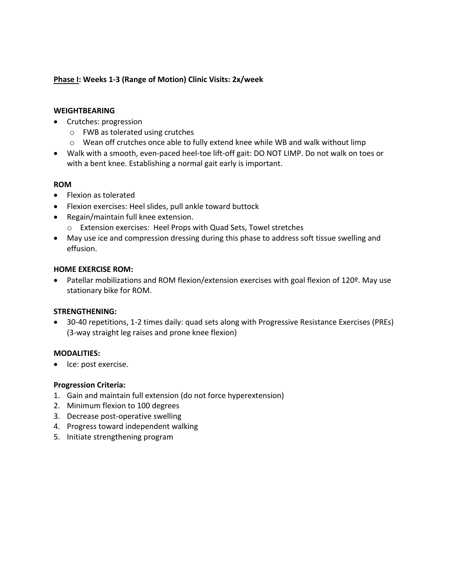## **Phase I: Weeks 1-3 (Range of Motion) Clinic Visits: 2x/week**

## **WEIGHTBEARING**

- Crutches: progression
	- o FWB as tolerated using crutches
	- o Wean off crutches once able to fully extend knee while WB and walk without limp
- Walk with a smooth, even-paced heel-toe lift-off gait: DO NOT LIMP. Do not walk on toes or with a bent knee. Establishing a normal gait early is important.

## **ROM**

- Flexion as tolerated
- Flexion exercises: Heel slides, pull ankle toward buttock
- Regain/maintain full knee extension.
	- o Extension exercises: Heel Props with Quad Sets, Towel stretches
- May use ice and compression dressing during this phase to address soft tissue swelling and effusion.

## **HOME EXERCISE ROM:**

• Patellar mobilizations and ROM flexion/extension exercises with goal flexion of 120º. May use stationary bike for ROM.

## **STRENGTHENING:**

• 30-40 repetitions, 1-2 times daily: quad sets along with Progressive Resistance Exercises (PREs) (3-way straight leg raises and prone knee flexion)

#### **MODALITIES:**

• Ice: post exercise.

## **Progression Criteria:**

- 1. Gain and maintain full extension (do not force hyperextension)
- 2. Minimum flexion to 100 degrees
- 3. Decrease post-operative swelling
- 4. Progress toward independent walking
- 5. Initiate strengthening program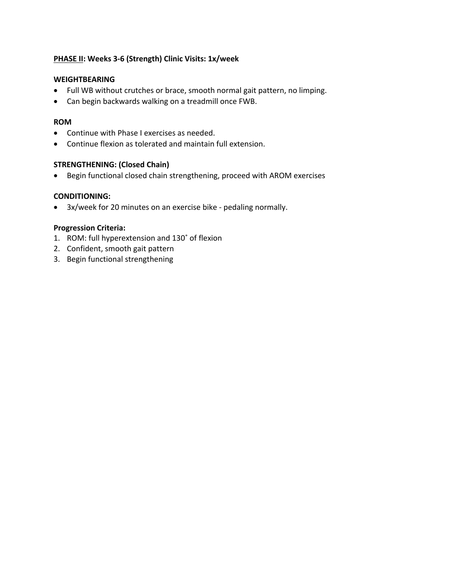# **PHASE II: Weeks 3-6 (Strength) Clinic Visits: 1x/week**

## **WEIGHTBEARING**

- Full WB without crutches or brace, smooth normal gait pattern, no limping.
- Can begin backwards walking on a treadmill once FWB.

#### **ROM**

- Continue with Phase I exercises as needed.
- Continue flexion as tolerated and maintain full extension.

## **STRENGTHENING: (Closed Chain)**

• Begin functional closed chain strengthening, proceed with AROM exercises

## **CONDITIONING:**

• 3x/week for 20 minutes on an exercise bike - pedaling normally.

## **Progression Criteria:**

- 1. ROM: full hyperextension and 130˚ of flexion
- 2. Confident, smooth gait pattern
- 3. Begin functional strengthening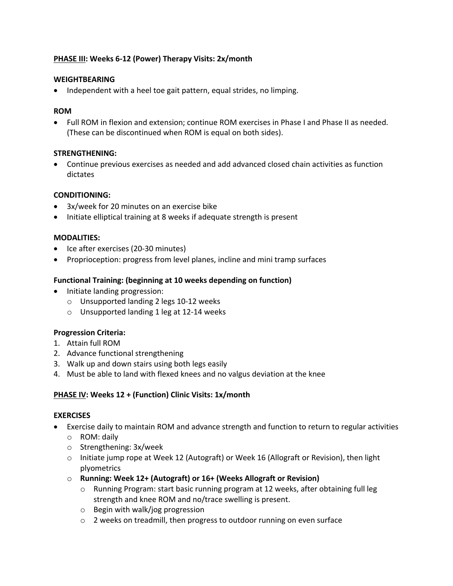# **PHASE III: Weeks 6-12 (Power) Therapy Visits: 2x/month**

## **WEIGHTBEARING**

• Independent with a heel toe gait pattern, equal strides, no limping.

#### **ROM**

• Full ROM in flexion and extension; continue ROM exercises in Phase I and Phase II as needed. (These can be discontinued when ROM is equal on both sides).

## **STRENGTHENING:**

• Continue previous exercises as needed and add advanced closed chain activities as function dictates

## **CONDITIONING:**

- 3x/week for 20 minutes on an exercise bike
- Initiate elliptical training at 8 weeks if adequate strength is present

## **MODALITIES:**

- Ice after exercises (20-30 minutes)
- Proprioception: progress from level planes, incline and mini tramp surfaces

## **Functional Training: (beginning at 10 weeks depending on function)**

- Initiate landing progression:
	- o Unsupported landing 2 legs 10-12 weeks
	- o Unsupported landing 1 leg at 12-14 weeks

## **Progression Criteria:**

- 1. Attain full ROM
- 2. Advance functional strengthening
- 3. Walk up and down stairs using both legs easily
- 4. Must be able to land with flexed knees and no valgus deviation at the knee

## **PHASE IV: Weeks 12 + (Function) Clinic Visits: 1x/month**

#### **EXERCISES**

- Exercise daily to maintain ROM and advance strength and function to return to regular activities o ROM: daily
	- o Strengthening: 3x/week
	- o Initiate jump rope at Week 12 (Autograft) or Week 16 (Allograft or Revision), then light plyometrics
	- o **Running: Week 12+ (Autograft) or 16+ (Weeks Allograft or Revision)** 
		- o Running Program: start basic running program at 12 weeks, after obtaining full leg strength and knee ROM and no/trace swelling is present.
		- o Begin with walk/jog progression
		- o 2 weeks on treadmill, then progress to outdoor running on even surface